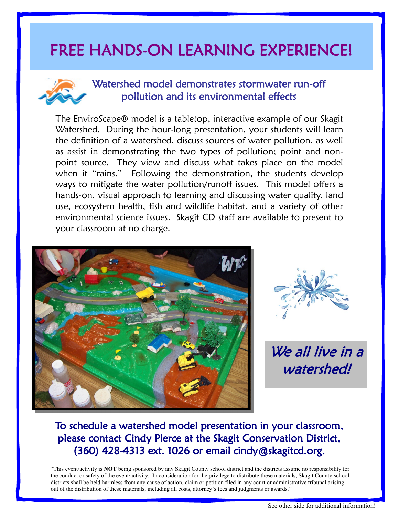# FREE HANDS-ON LEARNING EXPERIENCE!



#### Watershed model demonstrates stormwater run-off pollution and its environmental effects

The EnviroScape® model is a tabletop, interactive example of our Skagit Watershed. During the hour-long presentation, your students will learn the definition of a watershed, discuss sources of water pollution, as well as assist in demonstrating the two types of pollution; point and nonpoint source. They view and discuss what takes place on the model when it "rains." Following the demonstration, the students develop ways to mitigate the water pollution/runoff issues. This model offers a hands-on, visual approach to learning and discussing water quality, land use, ecosystem health, fish and wildlife habitat, and a variety of other environmental science issues. Skagit CD staff are available to present to your classroom at no charge.





We all live in a watershed!

### To schedule a watershed model presentation in your classroom, please contact Cindy Pierce at the Skagit Conservation District, (360) 428-4313 ext. 1026 or email cindy@skagitcd.org.

"This event/activity is **NOT** being sponsored by any Skagit County school district and the districts assume no responsibility for the conduct or safety of the event/activity. In consideration for the privilege to distribute these materials, Skagit County school districts shall be held harmless from any cause of action, claim or petition filed in any court or administrative tribunal arising out of the distribution of these materials, including all costs, attorney's fees and judgments or awards."